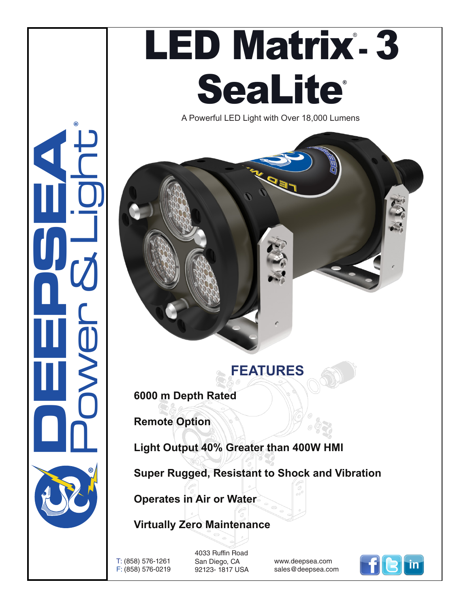

A Powerful LED Light with Over 18,000 Lumens

## **FEATURES**

**6000 m Depth Rated** 

**Remote Option**

**CONSUMERING** 

Power & Light

®

**Light Output 40% Greater than 400W HMI**

**Super Rugged, Resistant to Shock and Vibration**

**Operates in Air or Water**

## **Virtually Zero Maintenance**

T: (858) 576-1261 F: (858) 576-0219 4033 Ruffin Road San Diego, CA 92123- 1817 USA

www.deepsea.com sales@deepsea.com